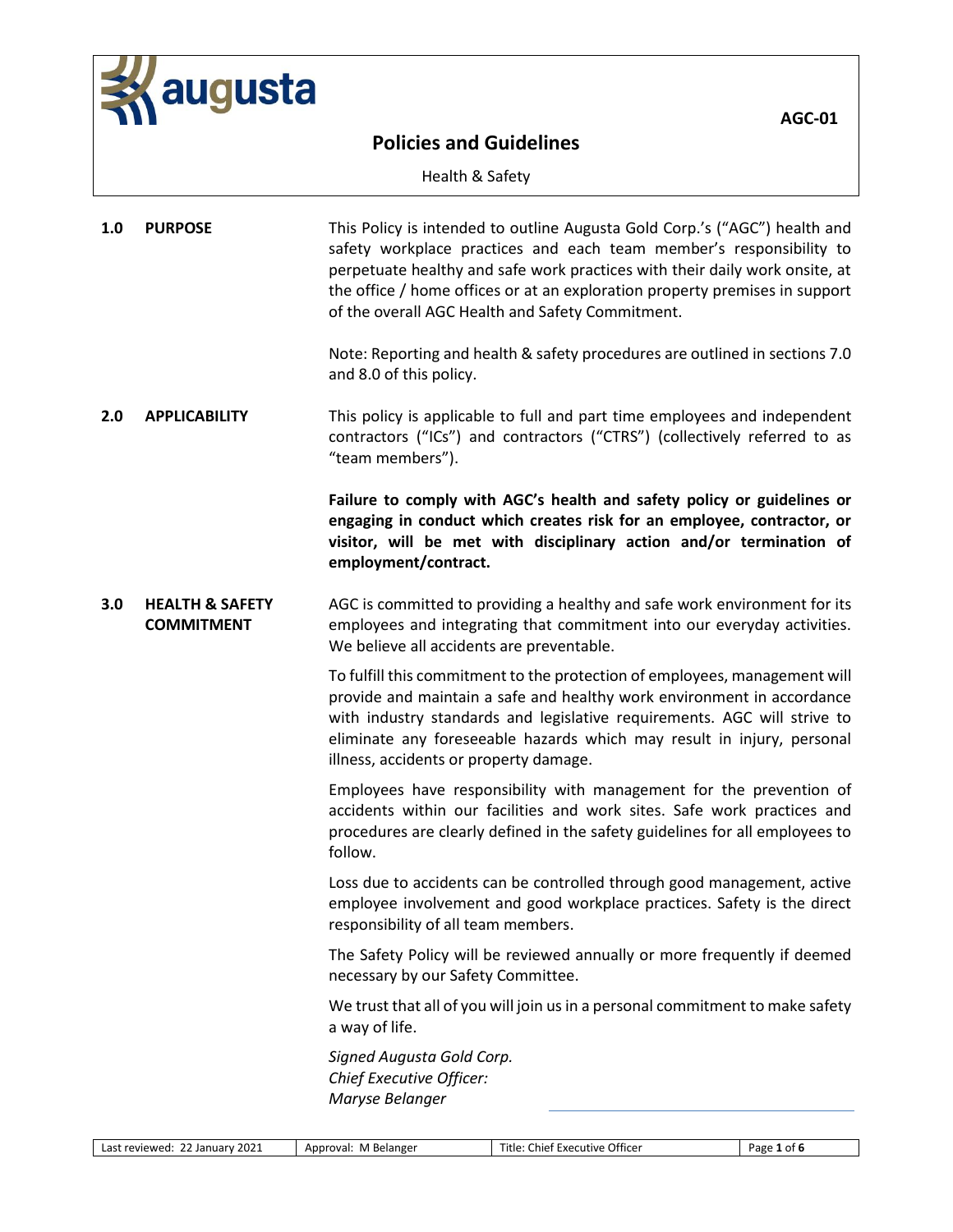

Health & Safety

| 1.0 | <b>PURPOSE</b>                                  | This Policy is intended to outline Augusta Gold Corp.'s ("AGC") health and<br>safety workplace practices and each team member's responsibility to<br>perpetuate healthy and safe work practices with their daily work onsite, at<br>the office / home offices or at an exploration property premises in support<br>of the overall AGC Health and Safety Commitment. |
|-----|-------------------------------------------------|---------------------------------------------------------------------------------------------------------------------------------------------------------------------------------------------------------------------------------------------------------------------------------------------------------------------------------------------------------------------|
|     |                                                 | Note: Reporting and health & safety procedures are outlined in sections 7.0<br>and 8.0 of this policy.                                                                                                                                                                                                                                                              |
| 2.0 | <b>APPLICABILITY</b>                            | This policy is applicable to full and part time employees and independent<br>contractors ("ICs") and contractors ("CTRS") (collectively referred to as<br>"team members").                                                                                                                                                                                          |
|     |                                                 | Failure to comply with AGC's health and safety policy or guidelines or<br>engaging in conduct which creates risk for an employee, contractor, or<br>visitor, will be met with disciplinary action and/or termination of<br>employment/contract.                                                                                                                     |
| 3.0 | <b>HEALTH &amp; SAFETY</b><br><b>COMMITMENT</b> | AGC is committed to providing a healthy and safe work environment for its<br>employees and integrating that commitment into our everyday activities.<br>We believe all accidents are preventable.                                                                                                                                                                   |
|     |                                                 | To fulfill this commitment to the protection of employees, management will<br>provide and maintain a safe and healthy work environment in accordance<br>with industry standards and legislative requirements. AGC will strive to<br>eliminate any foreseeable hazards which may result in injury, personal<br>illness, accidents or property damage.                |
|     |                                                 | Employees have responsibility with management for the prevention of<br>accidents within our facilities and work sites. Safe work practices and<br>procedures are clearly defined in the safety guidelines for all employees to<br>follow.                                                                                                                           |
|     |                                                 | Loss due to accidents can be controlled through good management, active<br>employee involvement and good workplace practices. Safety is the direct<br>responsibility of all team members.                                                                                                                                                                           |
|     |                                                 | The Safety Policy will be reviewed annually or more frequently if deemed<br>necessary by our Safety Committee.                                                                                                                                                                                                                                                      |
|     |                                                 | We trust that all of you will join us in a personal commitment to make safety<br>a way of life.                                                                                                                                                                                                                                                                     |
|     |                                                 | Signed Augusta Gold Corp.<br>Chief Executive Officer:<br>Maryse Belanger                                                                                                                                                                                                                                                                                            |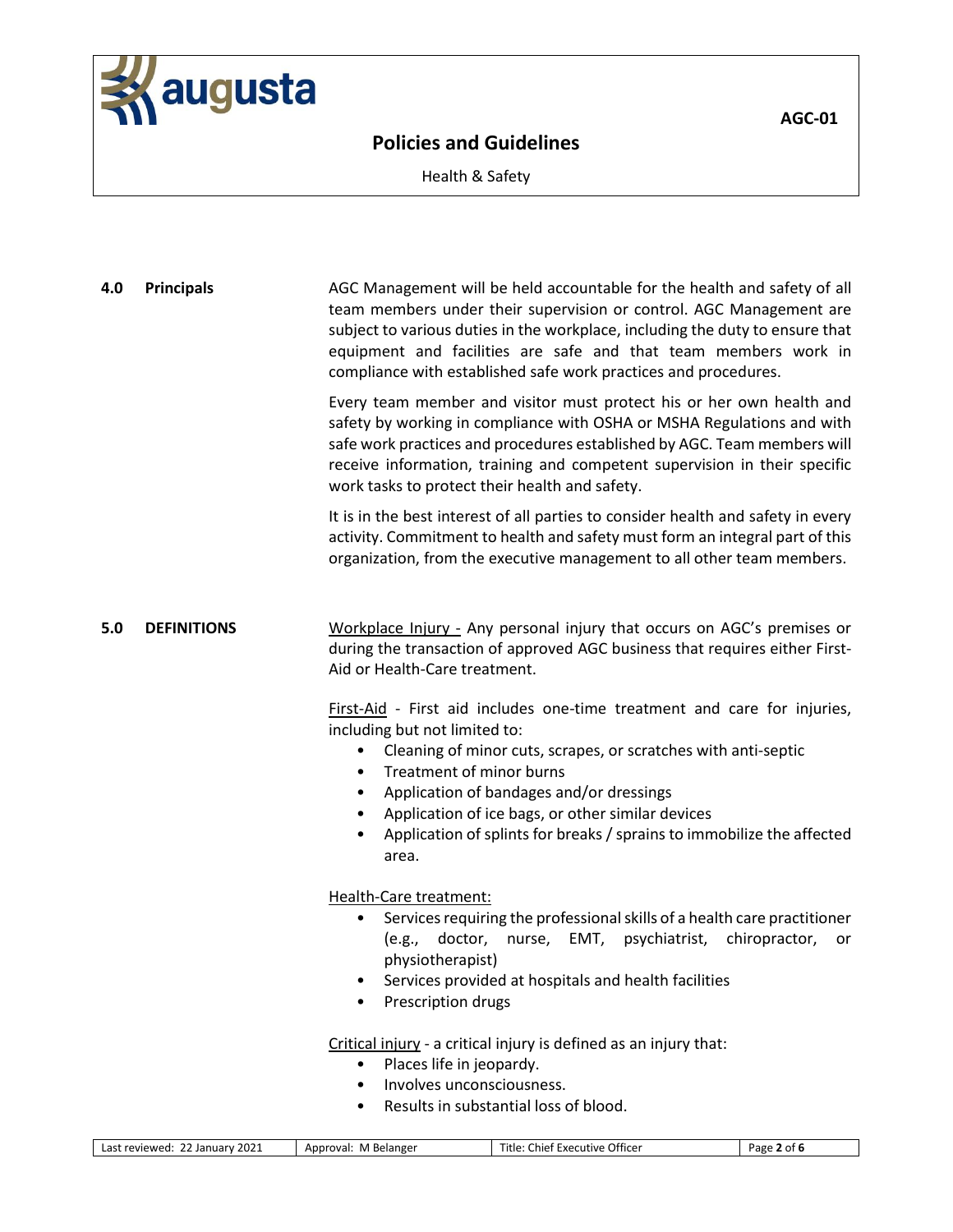

 $\overline{AGC-01}$ 

Health & Safety

**4.0 Principals** AGC Management will be held accountable for the health and safety of all team members under their supervision or control. AGC Management are subject to various duties in the workplace, including the duty to ensure that equipment and facilities are safe and that team members work in compliance with established safe work practices and procedures.

> Every team member and visitor must protect his or her own health and safety by working in compliance with OSHA or MSHA Regulations and with safe work practices and procedures established by AGC. Team members will receive information, training and competent supervision in their specific work tasks to protect their health and safety.

> It is in the best interest of all parties to consider health and safety in every activity. Commitment to health and safety must form an integral part of this organization, from the executive management to all other team members.

**5.0 DEFINITIONS** Workplace Injury - Any personal injury that occurs on AGC's premises or during the transaction of approved AGC business that requires either First-Aid or Health-Care treatment.

> First-Aid - First aid includes one-time treatment and care for injuries, including but not limited to:

- Cleaning of minor cuts, scrapes, or scratches with anti-septic
- Treatment of minor burns
- Application of bandages and/or dressings
- Application of ice bags, or other similar devices
- Application of splints for breaks / sprains to immobilize the affected area.

Health-Care treatment:

- Services requiring the professional skills of a health care practitioner (e.g., doctor, nurse, EMT, psychiatrist, chiropractor, or physiotherapist)
- Services provided at hospitals and health facilities
- Prescription drugs

Critical injury - a critical injury is defined as an injury that:

- Places life in jeopardy.
- Involves unconsciousness.
- Results in substantial loss of blood.

| 2021<br>--<br>reviewed:<br>_as'<br>iuarv<br>Jan' | . Belanger<br>Approval:<br>M | $ -$<br>Office<br>-itle<br><b>FYAC</b><br>™tive ∟<br>chie'<br>. | vage<br>ot t |
|--------------------------------------------------|------------------------------|-----------------------------------------------------------------|--------------|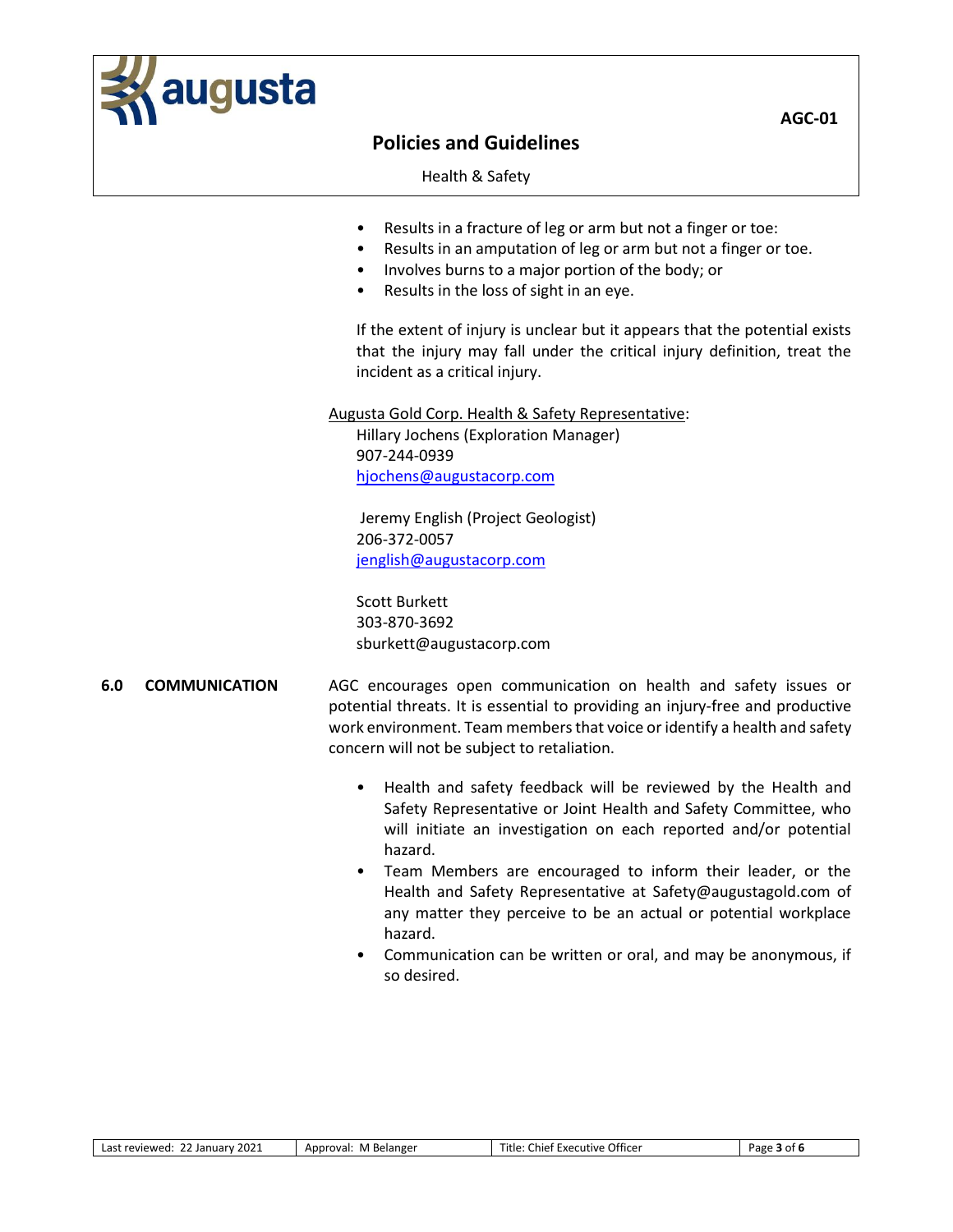

Health & Safety

- Results in a fracture of leg or arm but not a finger or toe:
- Results in an amputation of leg or arm but not a finger or toe.
- Involves burns to a major portion of the body; or
- Results in the loss of sight in an eye.

If the extent of injury is unclear but it appears that the potential exists that the injury may fall under the critical injury definition, treat the incident as a critical injury.

Augusta Gold Corp. Health & Safety Representative:

Hillary Jochens (Exploration Manager) 907-244-0939 [hjochens@augustacorp.com](mailto:hjochens@augustacorp.com)

Jeremy English (Project Geologist) 206-372-0057 [jenglish@augustacorp.com](mailto:jenglish@augustacorp.com)

Scott Burkett 303-870-3692 sburkett@augustacorp.com

- **6.0 COMMUNICATION** AGC encourages open communication on health and safety issues or potential threats. It is essential to providing an injury-free and productive work environment. Team members that voice or identify a health and safety concern will not be subject to retaliation.
	- Health and safety feedback will be reviewed by the Health and Safety Representative or Joint Health and Safety Committee, who will initiate an investigation on each reported and/or potential hazard.
	- Team Members are encouraged to inform their leader, or the Health and Safety Representative at Safety@augustagold.com of any matter they perceive to be an actual or potential workplace hazard.
	- Communication can be written or oral, and may be anonymous, if so desired.

| Last reviewed: 22 January 2021 |  |
|--------------------------------|--|
|                                |  |

 $\overline{AGC-01}$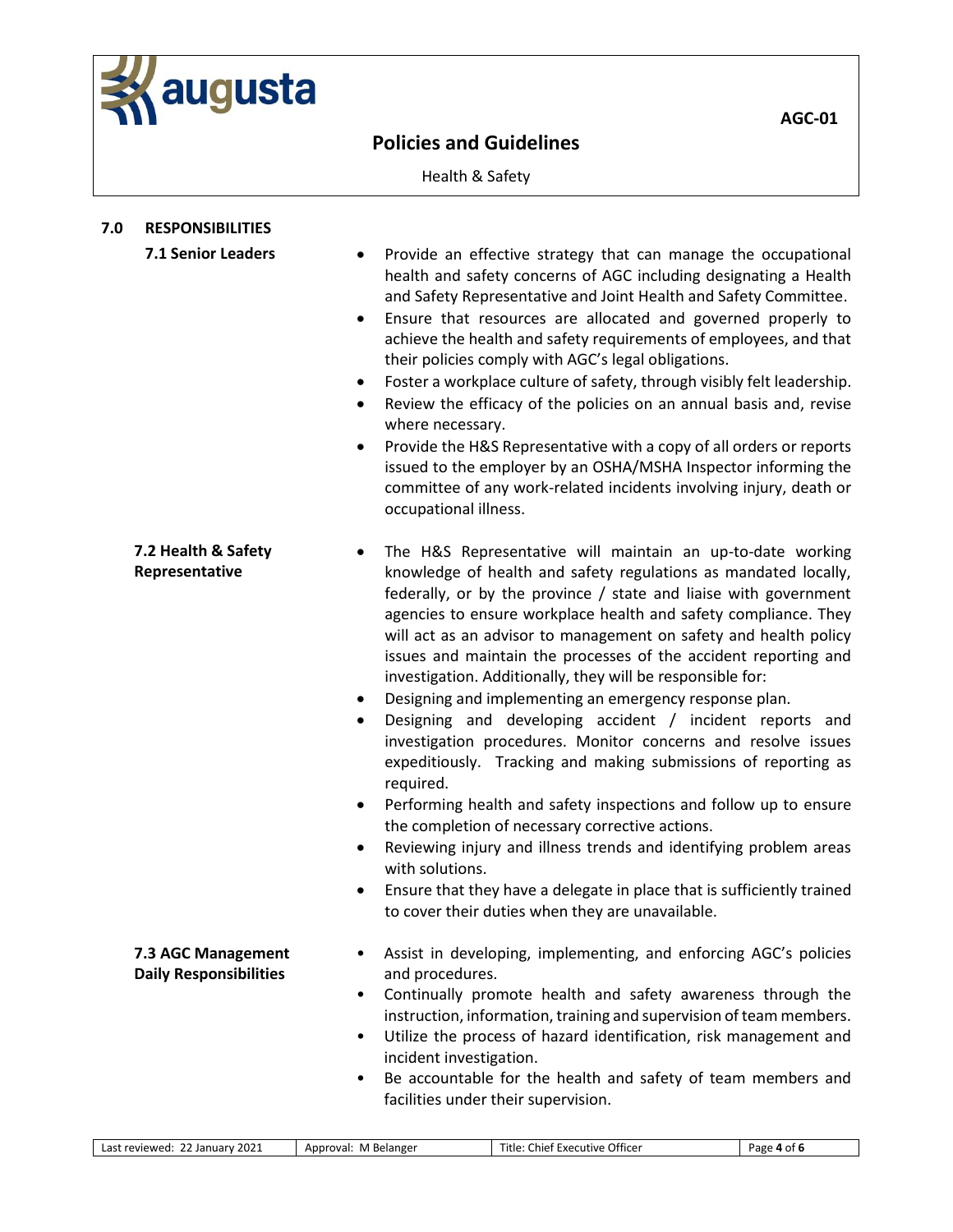

Health & Safety

| 7.0 | <b>RESPONSIBILITIES</b>                             |                                                               |                                                                                                                                                                                                                                                                                                                                                                                                                                                                                                                                                                                                                                                                                                                                                                                                                                                                                                                                                                                                                                                              |             |
|-----|-----------------------------------------------------|---------------------------------------------------------------|--------------------------------------------------------------------------------------------------------------------------------------------------------------------------------------------------------------------------------------------------------------------------------------------------------------------------------------------------------------------------------------------------------------------------------------------------------------------------------------------------------------------------------------------------------------------------------------------------------------------------------------------------------------------------------------------------------------------------------------------------------------------------------------------------------------------------------------------------------------------------------------------------------------------------------------------------------------------------------------------------------------------------------------------------------------|-------------|
|     | 7.1 Senior Leaders                                  | ٠<br>٠<br>٠<br>where necessary.<br>٠<br>occupational illness. | Provide an effective strategy that can manage the occupational<br>health and safety concerns of AGC including designating a Health<br>and Safety Representative and Joint Health and Safety Committee.<br>Ensure that resources are allocated and governed properly to<br>achieve the health and safety requirements of employees, and that<br>their policies comply with AGC's legal obligations.<br>Foster a workplace culture of safety, through visibly felt leadership.<br>Review the efficacy of the policies on an annual basis and, revise<br>Provide the H&S Representative with a copy of all orders or reports<br>issued to the employer by an OSHA/MSHA Inspector informing the<br>committee of any work-related incidents involving injury, death or                                                                                                                                                                                                                                                                                            |             |
|     | 7.2 Health & Safety<br>Representative               | ٠<br>٠<br>required.<br>٠<br>٠<br>with solutions.              | The H&S Representative will maintain an up-to-date working<br>knowledge of health and safety regulations as mandated locally,<br>federally, or by the province / state and liaise with government<br>agencies to ensure workplace health and safety compliance. They<br>will act as an advisor to management on safety and health policy<br>issues and maintain the processes of the accident reporting and<br>investigation. Additionally, they will be responsible for:<br>Designing and implementing an emergency response plan.<br>Designing and developing accident / incident reports and<br>investigation procedures. Monitor concerns and resolve issues<br>expeditiously. Tracking and making submissions of reporting as<br>Performing health and safety inspections and follow up to ensure<br>the completion of necessary corrective actions.<br>Reviewing injury and illness trends and identifying problem areas<br>Ensure that they have a delegate in place that is sufficiently trained<br>to cover their duties when they are unavailable. |             |
|     | 7.3 AGC Management<br><b>Daily Responsibilities</b> | and procedures.<br>٠                                          | Assist in developing, implementing, and enforcing AGC's policies<br>Continually promote health and safety awareness through the<br>instruction, information, training and supervision of team members.                                                                                                                                                                                                                                                                                                                                                                                                                                                                                                                                                                                                                                                                                                                                                                                                                                                       |             |
|     |                                                     | ٠<br>incident investigation.<br>$\bullet$                     | Utilize the process of hazard identification, risk management and<br>Be accountable for the health and safety of team members and<br>facilities under their supervision.                                                                                                                                                                                                                                                                                                                                                                                                                                                                                                                                                                                                                                                                                                                                                                                                                                                                                     |             |
|     | Last reviewed: 22 January 2021                      | Approval: M Belanger                                          | Title: Chief Executive Officer                                                                                                                                                                                                                                                                                                                                                                                                                                                                                                                                                                                                                                                                                                                                                                                                                                                                                                                                                                                                                               | Page 4 of 6 |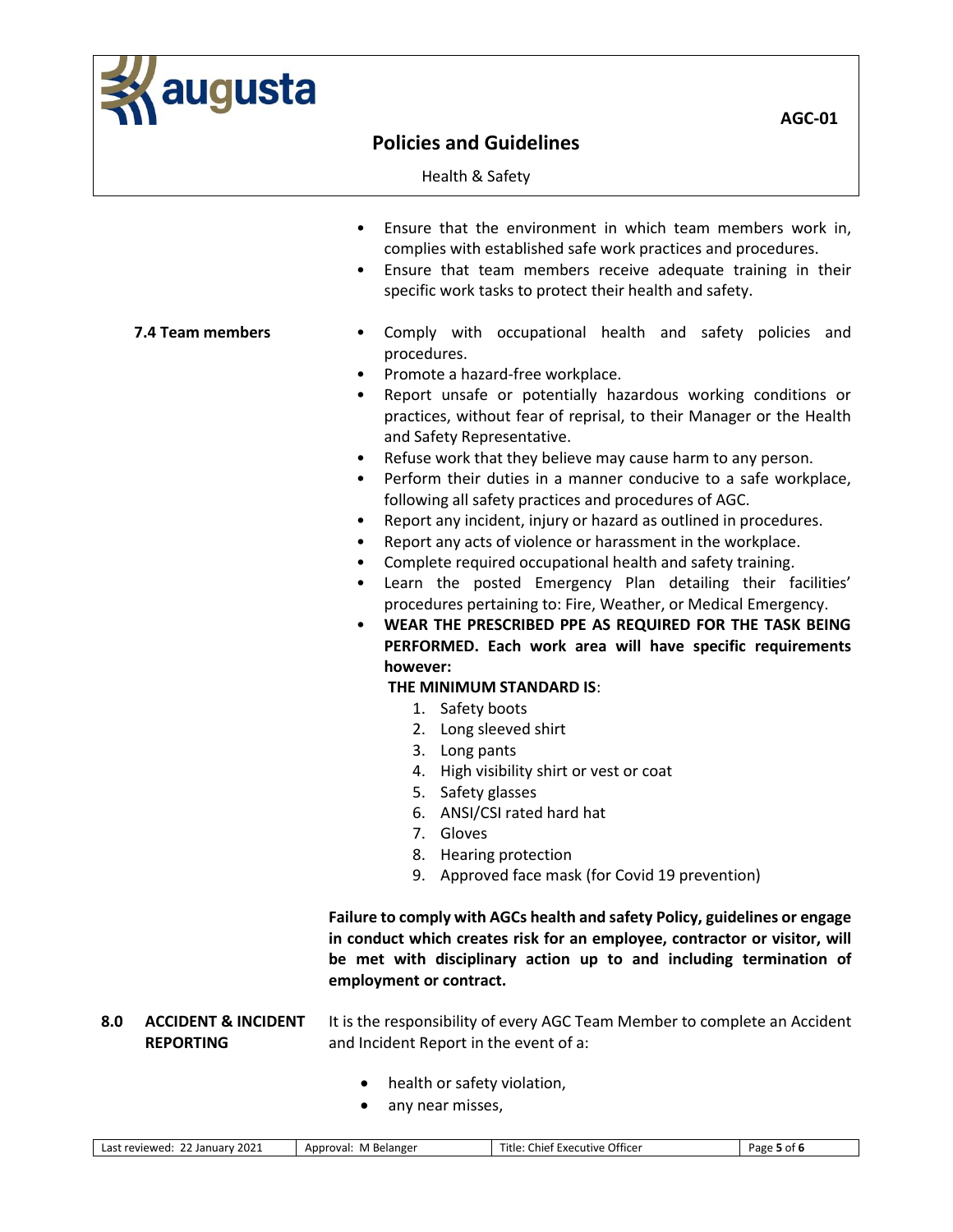

 $\overline{AGC-01}$ 

Health & Safety

- Ensure that the environment in which team members work in, complies with established safe work practices and procedures.
- Ensure that team members receive adequate training in their specific work tasks to protect their health and safety.

- **7.4 Team members** Comply with occupational health and safety policies and procedures.
	- Promote a hazard-free workplace.
	- Report unsafe or potentially hazardous working conditions or practices, without fear of reprisal, to their Manager or the Health and Safety Representative.
	- Refuse work that they believe may cause harm to any person.
	- Perform their duties in a manner conducive to a safe workplace, following all safety practices and procedures of AGC.
	- Report any incident, injury or hazard as outlined in procedures.
	- Report any acts of violence or harassment in the workplace.
	- Complete required occupational health and safety training.
	- Learn the posted Emergency Plan detailing their facilities' procedures pertaining to: Fire, Weather, or Medical Emergency.
	- **WEAR THE PRESCRIBED PPE AS REQUIRED FOR THE TASK BEING PERFORMED. Each work area will have specific requirements however:**

### **THE MINIMUM STANDARD IS**:

- 1. Safety boots
- 2. Long sleeved shirt
- 3. Long pants
- 4. High visibility shirt or vest or coat
- 5. Safety glasses
- 6. ANSI/CSI rated hard hat
- 7. Gloves
- 8. Hearing protection
- 9. Approved face mask (for Covid 19 prevention)

**Failure to comply with AGCs health and safety Policy, guidelines or engage in conduct which creates risk for an employee, contractor or visitor, will be met with disciplinary action up to and including termination of employment or contract.**

### **8.0 ACCIDENT & INCIDENT REPORTING** It is the responsibility of every AGC Team Member to complete an Accident and Incident Report in the event of a:

- health or safety violation,
- any near misses,

| - --<br>2021<br>Officer<br>i itle<br>Belange <sup>.</sup><br>Chief<br>Pape<br>reviewed:<br>`nprovai.<br>Executive<br>nt.<br>ian''<br>…uarv n<br><b>IVI</b><br>$\cdot$ . |
|-------------------------------------------------------------------------------------------------------------------------------------------------------------------------|
|-------------------------------------------------------------------------------------------------------------------------------------------------------------------------|